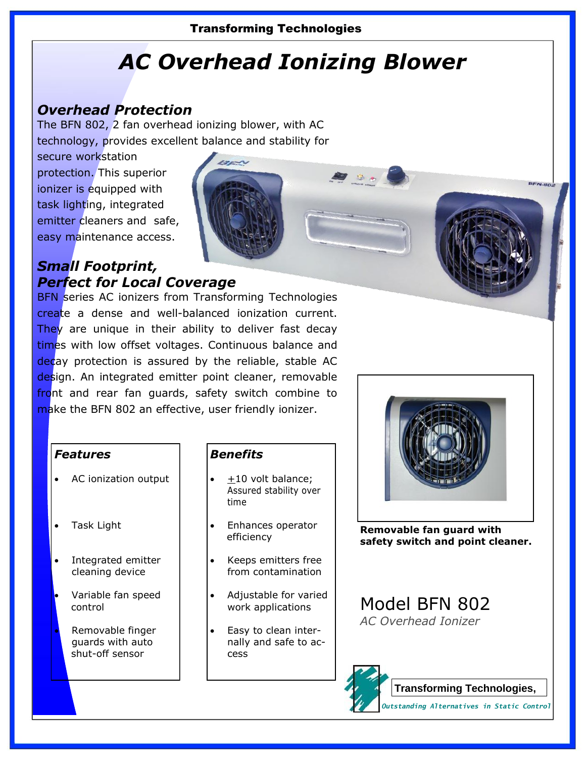### Transforming Technologies

# *AC Overhead Ionizing Blower*

## *Overhead Protection*

The BFN 802, 2 fan overhead ionizing blower, with AC technology, provides excellent balance and stability for

secure workstation protection. This superior ionizer is equipped with task lighting, integrated emitter cleaners and safe, easy maintenance access.

## *Small Footprint, Perfect for Local Coverage*

**BFN** series AC ionizers from Transforming Technologies create a dense and well-balanced ionization current. They are unique in their ability to deliver fast decay times with low offset voltages. Continuous balance and decay protection is assured by the reliable, stable AC design. An integrated emitter point cleaner, removable front and rear fan guards, safety switch combine to make the BFN 802 an effective, user friendly ionizer.

#### *Features*

- AC ionization output
- Task Light
- Integrated emitter cleaning device
- Variable fan speed control
	- Removable finger guards with auto shut-off sensor

### *Benefits*

- +10 volt balance; Assured stability over time
- Enhances operator efficiency
- Keeps emitters free from contamination
- Adjustable for varied work applications
- Easy to clean internally and safe to access



**Removable fan guard with safety switch and point cleaner.**

Model BFN 802 *AC Overhead Ionizer*

> **Transforming Technologies,**  *Outstanding Alternatives in Static Control*